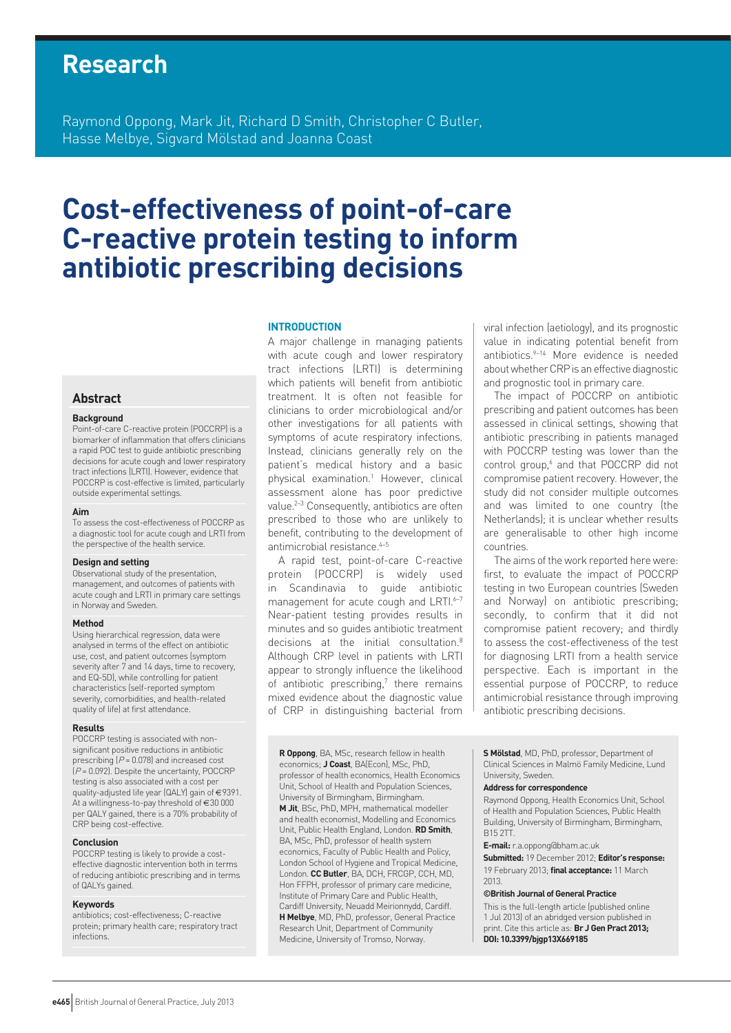# **Research**

Raymond Oppong, Mark Jit, Richard D Smith, Christopher C Butler, Hasse Melbye, Sigvard Mölstad and Joanna Coast

# **Cost-effectiveness of point-of-care C-reactive protein testing to inform antibiotic prescribing decisions**

## **INTRODUCTION**

A major challenge in managing patients with acute cough and lower respiratory tract infections (LRTI) is determining which patients will benefit from antibiotic treatment. It is often not feasible for clinicians to order microbiological and/or other investigations for all patients with symptoms of acute respiratory infections. Instead, clinicians generally rely on the patient's medical history and a basic physical examination.1 However, clinical assessment alone has poor predictive value.2–3 Consequently, antibiotics are often prescribed to those who are unlikely to benefit, contributing to the development of antimicrobial resistance.<sup>4-5</sup>

A rapid test, point-of-care C-reactive protein (POCCRP) is widely used in Scandinavia to guide antibiotic management for acute cough and LRTI.<sup>6-7</sup> Near-patient testing provides results in minutes and so guides antibiotic treatment decisions at the initial consultation.<sup>8</sup> Although CRP level in patients with LRTI appear to strongly influence the likelihood of antibiotic prescribing,<sup>7</sup> there remains mixed evidence about the diagnostic value of CRP in distinguishing bacterial from

viral infection (aetiology), and its prognostic value in indicating potential benefit from antibiotics.9–14 More evidence is needed about whether CRP is an effective diagnostic and prognostic tool in primary care.

The impact of POCCRP on antibiotic prescribing and patient outcomes has been assessed in clinical settings, showing that antibiotic prescribing in patients managed with POCCRP testing was lower than the control group,<sup>6</sup> and that POCCRP did not compromise patient recovery. However, the study did not consider multiple outcomes and was limited to one country (the Netherlands); it is unclear whether results are generalisable to other high income countries.

The aims of the work reported here were: first, to evaluate the impact of POCCRP testing in two European countries (Sweden and Norway) on antibiotic prescribing; secondly, to confirm that it did not compromise patient recovery; and thirdly to assess the cost-effectiveness of the test for diagnosing LRTI from a health service perspective. Each is important in the essential purpose of POCCRP, to reduce antimicrobial resistance through improving antibiotic prescribing decisions.

**R Oppong**, BA, MSc, research fellow in health economics; **J Coast**, BA(Econ), MSc, PhD, professor of health economics, Health Economics Unit, School of Health and Population Sciences, University of Birmingham, Birmingham. **M Jit**, BSc, PhD, MPH, mathematical modeller and health economist, Modelling and Economics Unit, Public Health England, London. **RD Smith**, BA, MSc, PhD, professor of health system economics, Faculty of Public Health and Policy, London School of Hygiene and Tropical Medicine, London. **CC Butler**, BA, DCH, FRCGP, CCH, MD, Hon FFPH, professor of primary care medicine, Institute of Primary Care and Public Health, Cardiff University, Neuadd Meirionnydd, Cardiff. **H Melbye**, MD, PhD, professor, General Practice Research Unit, Department of Community Medicine, University of Tromso, Norway.

**S Mölstad**, MD, PhD, professor, Department of Clinical Sciences in Malmö Family Medicine, Lund University, Sweden.

## **Address for correspondence**

Raymond Oppong, Health Economics Unit, School of Health and Population Sciences, Public Health Building, University of Birmingham, Birmingham, B15 2TT.

**E-mail:** r.a.oppong@bham.ac.uk

2013.

**Submitted:** 19 December 2012; **Editor's response:** 19 February 2013; **final acceptance:** 11 March

#### **©British Journal of General Practice**

This is the full-length article (published online 1 Jul 2013) of an abridged version published in print. Cite this article as: **Br J Gen Pract 2013; DOI: 10.3399/bjgp13X669185**

# **Abstract**

#### **Background**

Point-of-care C-reactive protein (POCCRP) is a biomarker of inflammation that offers clinicians a rapid POC test to guide antibiotic prescribing decisions for acute cough and lower respiratory tract infections (LRTI). However, evidence that POCCRP is cost-effective is limited, particularly outside experimental settings.

#### **Aim**

To assess the cost-effectiveness of POCCRP as a diagnostic tool for acute cough and LRTI from the perspective of the health service.

#### **Design and setting**

Observational study of the presentation, management, and outcomes of patients with acute cough and LRTI in primary care settings in Norway and Sweden.

#### **Method**

Using hierarchical regression, data were analysed in terms of the effect on antibiotic use, cost, and patient outcomes (symptom severity after 7 and 14 days, time to recovery, and EQ-5D), while controlling for patient characteristics (self-reported symptom severity, comorbidities, and health-related quality of life) at first attendance.

#### **Results**

POCCRP testing is associated with nonsignificant positive reductions in antibiotic prescribing  $[P = 0.078]$  and increased cost  $(P = 0.092)$ . Despite the uncertainty, POCCRP testing is also associated with a cost per quality-adjusted life year (QALY) gain of €9391. At a willingness-to-pay threshold of €30 000 per QALY gained, there is a 70% probability of CRP being cost-effective.

#### **Conclusion**

POCCRP testing is likely to provide a costeffective diagnostic intervention both in terms of reducing antibiotic prescribing and in terms of QALYs gained.

#### **Keywords**

antibiotics; cost-effectiveness; C-reactive protein; primary health care; respiratory tract infections.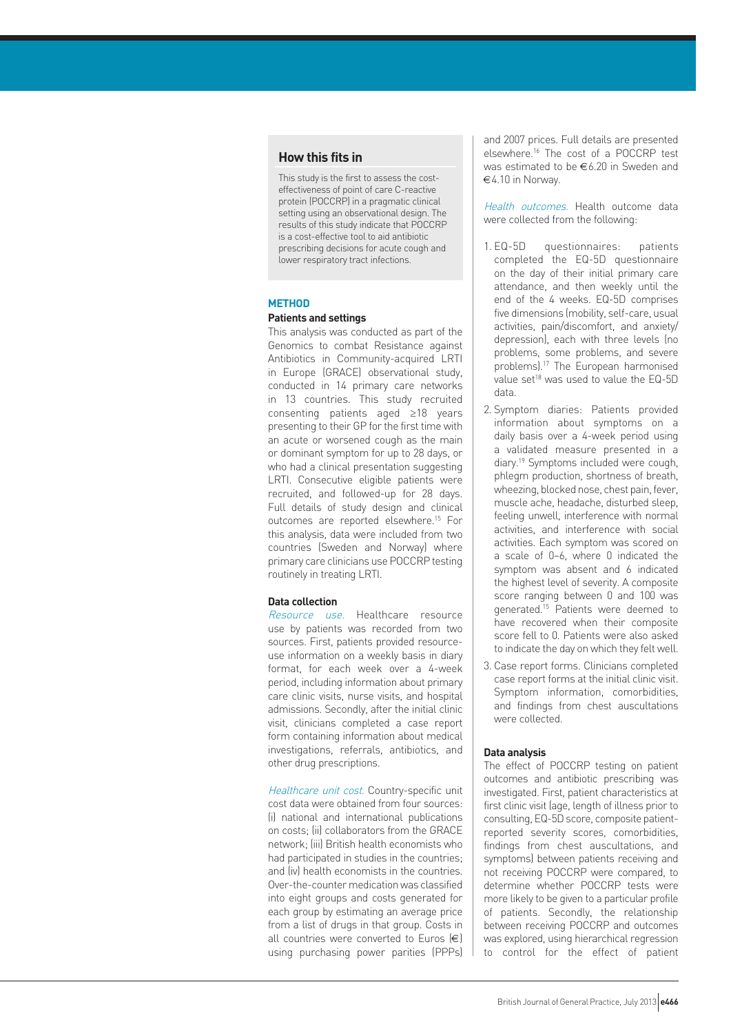## **How this fits in**

This study is the first to assess the costeffectiveness of point of care C-reactive protein (POCCRP) in a pragmatic clinical setting using an observational design. The results of this study indicate that POCCRP is a cost-effective tool to aid antibiotic prescribing decisions for acute cough and lower respiratory tract infections.

## **METHOD**

# **Patients and settings**

This analysis was conducted as part of the Genomics to combat Resistance against Antibiotics in Community-acquired LRTI in Europe (GRACE) observational study, conducted in 14 primary care networks in 13 countries. This study recruited consenting patients aged ≥18 years presenting to their GP for the first time with an acute or worsened cough as the main or dominant symptom for up to 28 days, or who had a clinical presentation suggesting LRTI. Consecutive eligible patients were recruited, and followed-up for 28 days. Full details of study design and clinical outcomes are reported elsewhere.15 For this analysis, data were included from two countries (Sweden and Norway) where primary care clinicians use POCCRP testing routinely in treating LRTI.

### **Data collection**

Resource use. Healthcare resource use by patients was recorded from two sources. First, patients provided resourceuse information on a weekly basis in diary format, for each week over a 4-week period, including information about primary care clinic visits, nurse visits, and hospital admissions. Secondly, after the initial clinic visit, clinicians completed a case report form containing information about medical investigations, referrals, antibiotics, and other drug prescriptions.

Healthcare unit cost. Country-specific unit cost data were obtained from four sources: (i) national and international publications on costs; (ii) collaborators from the GRACE network; (iii) British health economists who had participated in studies in the countries; and (iv) health economists in the countries. Over-the-counter medication was classified into eight groups and costs generated for each group by estimating an average price from a list of drugs in that group. Costs in all countries were converted to Euros  $(\epsilon)$ using purchasing power parities (PPPs) and 2007 prices. Full details are presented elsewhere.16 The cost of a POCCRP test was estimated to be €6.20 in Sweden and €4.10 in Norway.

Health outcomes. Health outcome data were collected from the following:

- 1. EQ-5D questionnaires: patients completed the EQ-5D questionnaire on the day of their initial primary care attendance, and then weekly until the end of the 4 weeks. EQ-5D comprises five dimensions (mobility, self-care, usual activities, pain/discomfort, and anxiety/ depression), each with three levels (no problems, some problems, and severe problems).17 The European harmonised value set<sup>18</sup> was used to value the EQ-5D data.
- 2. Symptom diaries: Patients provided information about symptoms on a daily basis over a 4-week period using a validated measure presented in a diary.19 Symptoms included were cough, phlegm production, shortness of breath, wheezing, blocked nose, chest pain, fever, muscle ache, headache, disturbed sleep, feeling unwell, interference with normal activities, and interference with social activities. Each symptom was scored on a scale of 0–6, where 0 indicated the symptom was absent and 6 indicated the highest level of severity. A composite score ranging between 0 and 100 was generated.15 Patients were deemed to have recovered when their composite score fell to 0. Patients were also asked to indicate the day on which they felt well.
- 3. Case report forms. Clinicians completed case report forms at the initial clinic visit. Symptom information, comorbidities, and findings from chest auscultations were collected.

#### **Data analysis**

The effect of POCCRP testing on patient outcomes and antibiotic prescribing was investigated. First, patient characteristics at first clinic visit (age, length of illness prior to consulting, EQ-5D score, composite patientreported severity scores, comorbidities, findings from chest auscultations, and symptoms) between patients receiving and not receiving POCCRP were compared, to determine whether POCCRP tests were more likely to be given to a particular profile of patients. Secondly, the relationship between receiving POCCRP and outcomes was explored, using hierarchical regression to control for the effect of patient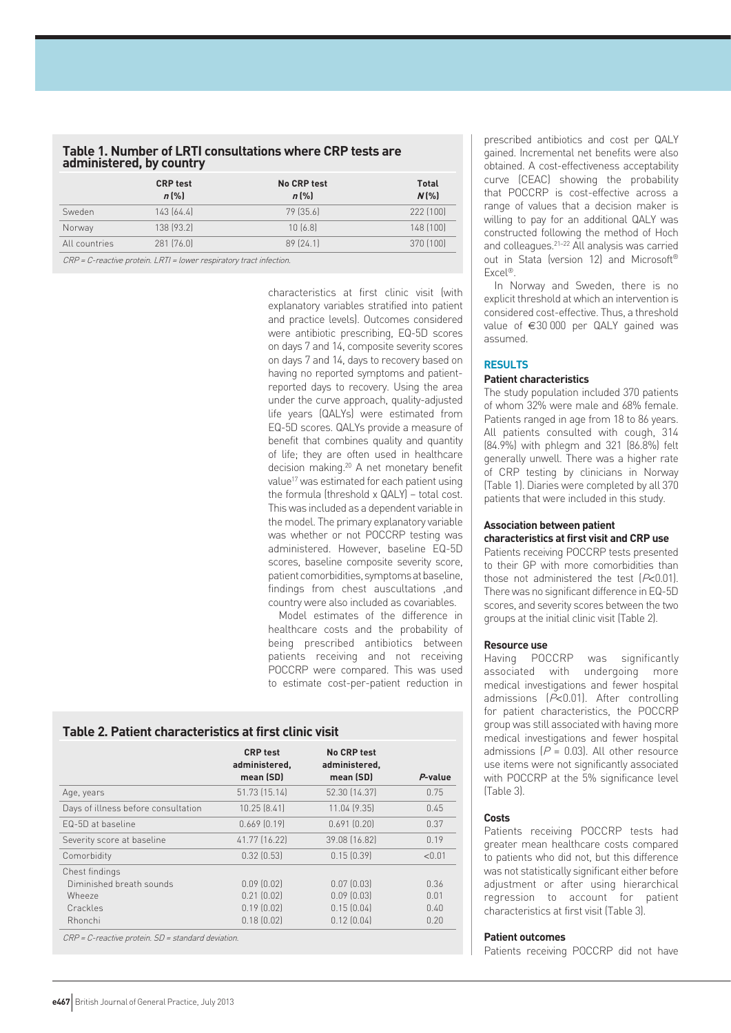| Table 1. Number of LRTI consultations where CRP tests are |  |
|-----------------------------------------------------------|--|
| administered, by country                                  |  |

|               | <b>CRP test</b><br>$n$ (%) | No CRP test<br>$n$ (%) | <b>Total</b><br>$N$ $\left[\% \right]$ |
|---------------|----------------------------|------------------------|----------------------------------------|
| Sweden        | 143[64.4]                  | 79 (35.6)              | 222 [100]                              |
| Norway        | 138 (93.2)                 | 10(6.8)                | 148 (100)                              |
| All countries | 281 [76.0]                 | 89[24.1]               | 370 [100]                              |

CRP = C-reactive protein. LRTI = lower respiratory tract infection.

characteristics at first clinic visit (with explanatory variables stratified into patient and practice levels). Outcomes considered were antibiotic prescribing, EQ-5D scores on days 7 and 14, composite severity scores on days 7 and 14, days to recovery based on having no reported symptoms and patientreported days to recovery. Using the area under the curve approach, quality-adjusted life years (QALYs) were estimated from EQ-5D scores. QALYs provide a measure of benefit that combines quality and quantity of life; they are often used in healthcare decision making.20 A net monetary benefit value<sup>17</sup> was estimated for each patient using the formula (threshold x QALY) – total cost. This was included as a dependent variable in the model. The primary explanatory variable was whether or not POCCRP testing was administered. However, baseline EQ-5D scores, baseline composite severity score, patient comorbidities, symptoms at baseline, findings from chest auscultations ,and country were also included as covariables.

Model estimates of the difference in healthcare costs and the probability of being prescribed antibiotics between patients receiving and not receiving POCCRP were compared. This was used to estimate cost-per-patient reduction in

# **Table 2. Patient characteristics at first clinic visit**

|                                     | <b>CRP</b> test<br>administered,<br>mean (SD) | <b>No CRP test</b><br>administered,<br>mean (SD) | P-value |
|-------------------------------------|-----------------------------------------------|--------------------------------------------------|---------|
| Age, years                          | 51.73 (15.14)                                 | 52.30 (14.37)                                    | 0.75    |
| Days of illness before consultation | 10.25 [8.41]                                  | 11.04 (9.35)                                     | 0.45    |
| FQ-5D at baseline                   | $0.669$ $[0.19]$                              | 0.691(0.20)                                      | 0.37    |
| Severity score at baseline          | 41.77 (16.22)                                 | 39.08 (16.82)                                    | 0.19    |
| Comorbidity                         | $0.32$ $(0.53)$                               | $0.15$ $(0.39)$                                  | < 0.01  |
| Chest findings                      |                                               |                                                  |         |
| Diminished breath sounds            | $0.09$ $(0.02)$                               | $0.07$ $(0.03)$                                  | 0.36    |
| Wheeze                              | $0.21$ $[0.02]$                               | $0.09$ $(0.03)$                                  | 0.01    |
| Crackles                            | $0.19$ $(0.02)$                               | 0.15(0.04)                                       | 0.40    |
| Rhonchi                             | 0.18(0.02)                                    | 0.12(0.04)                                       | 0.20    |

CRP = C-reactive protein. SD = standard deviation.

prescribed antibiotics and cost per QALY gained. Incremental net benefits were also obtained. A cost-effectiveness acceptability curve (CEAC) showing the probability that POCCRP is cost-effective across a range of values that a decision maker is willing to pay for an additional QALY was constructed following the method of Hoch and colleagues.21–22 All analysis was carried out in Stata (version 12) and Microsoft® Excel®.

In Norway and Sweden, there is no explicit threshold at which an intervention is considered cost-effective. Thus, a threshold value of €30 000 per QALY gained was assumed.

### **RESULTS**

## **Patient characteristics**

The study population included 370 patients of whom 32% were male and 68% female. Patients ranged in age from 18 to 86 years. All patients consulted with cough, 314 (84.9%) with phlegm and 321 (86.8%) felt generally unwell. There was a higher rate of CRP testing by clinicians in Norway (Table 1). Diaries were completed by all 370 patients that were included in this study.

#### **Association between patient characteristics at first visit and CRP use**

Patients receiving POCCRP tests presented to their GP with more comorbidities than those not administered the test  $[P<0.01]$ . There was no significant difference in EQ-5D scores, and severity scores between the two groups at the initial clinic visit (Table 2).

#### **Resource use**

Having POCCRP was significantly associated with undergoing more medical investigations and fewer hospital admissions (P<0.01). After controlling for patient characteristics, the POCCRP group was still associated with having more medical investigations and fewer hospital admissions  $(P = 0.03)$ . All other resource use items were not significantly associated with POCCRP at the 5% significance level (Table 3).

#### **Costs**

Patients receiving POCCRP tests had greater mean healthcare costs compared to patients who did not, but this difference was not statistically significant either before adjustment or after using hierarchical regression to account for patient characteristics at first visit (Table 3).

#### **Patient outcomes**

Patients receiving POCCRP did not have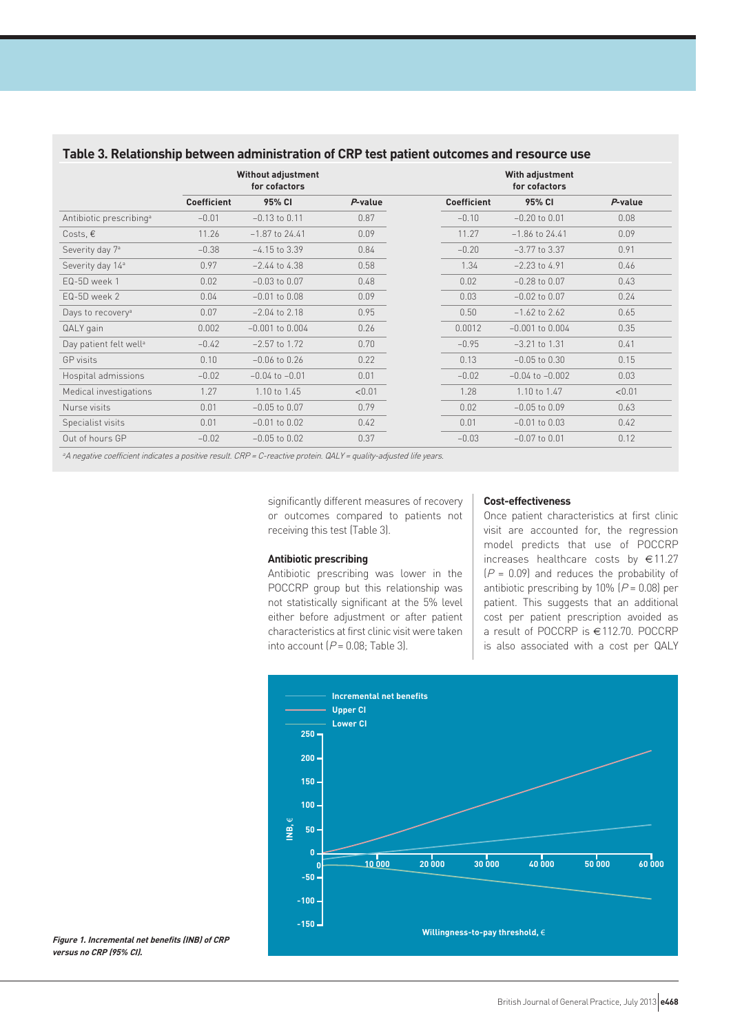|                                     | <b>Without adjustment</b><br>for cofactors |                     |         | With adjustment<br>for cofactors |                     |         |
|-------------------------------------|--------------------------------------------|---------------------|---------|----------------------------------|---------------------|---------|
|                                     | <b>Coefficient</b>                         | 95% CI              | P-value | <b>Coefficient</b>               | 95% CI              | P-value |
| Antibiotic prescribing <sup>a</sup> | $-0.01$                                    | $-0.13$ to $0.11$   | 0.87    | $-0.10$                          | $-0.20$ to $0.01$   | 0.08    |
| Costs, $\epsilon$                   | 11.26                                      | $-1.87$ to 24.41    | 0.09    | 11.27                            | $-1.86$ to 24.41    | 0.09    |
| Severity day 7 <sup>a</sup>         | $-0.38$                                    | $-4.15$ to 3.39     | 0.84    | $-0.20$                          | $-3.77$ to 3.37     | 0.91    |
| Severity day 14 <sup>a</sup>        | 0.97                                       | $-2.44$ to 4.38     | 0.58    | 1.34                             | $-2.23$ to 4.91     | 0.46    |
| EQ-5D week 1                        | 0.02                                       | $-0.03$ to $0.07$   | 0.48    | 0.02                             | $-0.28$ to $0.07$   | 0.43    |
| EQ-5D week 2                        | 0.04                                       | $-0.01$ to $0.08$   | 0.09    | 0.03                             | $-0.02$ to $0.07$   | 0.24    |
| Days to recovery <sup>a</sup>       | 0.07                                       | $-2.04$ to 2.18     | 0.95    | 0.50                             | $-1.62$ to 2.62     | 0.65    |
| QALY gain                           | 0.002                                      | $-0.001$ to $0.004$ | 0.26    | 0.0012                           | $-0.001$ to $0.004$ | 0.35    |
| Day patient felt well <sup>a</sup>  | $-0.42$                                    | $-2.57$ to $1.72$   | 0.70    | $-0.95$                          | $-3.21$ to 1.31     | 0.41    |
| GP visits                           | 0.10                                       | $-0.06$ to $0.26$   | 0.22    | 0.13                             | $-0.05$ to $0.30$   | 0.15    |
| Hospital admissions                 | $-0.02$                                    | $-0.04$ to $-0.01$  | 0.01    | $-0.02$                          | $-0.04$ to $-0.002$ | 0.03    |
| Medical investigations              | 1.27                                       | 1.10 to 1.45        | < 0.01  | 1.28                             | 1.10 to 1.47        | < 0.01  |
| Nurse visits                        | 0.01                                       | $-0.05$ to $0.07$   | 0.79    | 0.02                             | $-0.05$ to $0.09$   | 0.63    |
| Specialist visits                   | 0.01                                       | $-0.01$ to $0.02$   | 0.42    | 0.01                             | $-0.01$ to $0.03$   | 0.42    |
| Out of hours GP                     | $-0.02$                                    | $-0.05$ to $0.02$   | 0.37    | $-0.03$                          | $-0.07$ to $0.01$   | 0.12    |

# **Table 3. Relationship between administration of CRP test patient outcomes and resource use**

<sup>a</sup>A negative coefficient indicates a positive result. CRP = C-reactive protein. QALY = quality-adjusted life years.

significantly different measures of recovery or outcomes compared to patients not receiving this test (Table 3).

## **Antibiotic prescribing**

Antibiotic prescribing was lower in the POCCRP group but this relationship was not statistically significant at the 5% level either before adjustment or after patient characteristics at first clinic visit were taken into account  $(P = 0.08;$  Table 3).

#### **Cost-effectiveness**

Once patient characteristics at first clinic visit are accounted for, the regression model predicts that use of POCCRP increases healthcare costs by €11.27  $[P = 0.09]$  and reduces the probability of antibiotic prescribing by 10%  $(P = 0.08)$  per patient. This suggests that an additional cost per patient prescription avoided as a result of POCCRP is €112.70. POCCRP is also associated with a cost per QALY



**Figure 1. Incremental net benefits (INB) of CRP versus no CRP (95% CI).**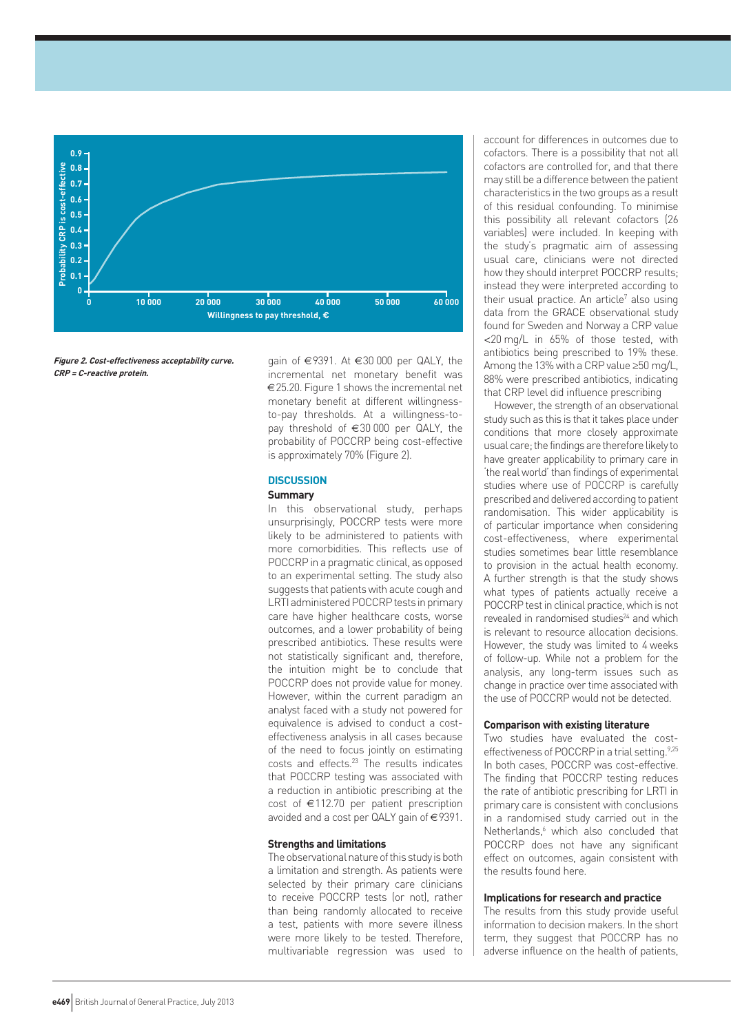

**Figure 2. Cost-effectiveness acceptability curve. CRP = C-reactive protein.**

gain of €9391. At €30 000 per QALY, the incremental net monetary benefit was €25.20. Figure 1 shows the incremental net monetary benefit at different willingnessto-pay thresholds. At a willingness-topay threshold of €30 000 per QALY, the probability of POCCRP being cost-effective is approximately 70% (Figure 2).

## **DISCUSSION**

#### **Summary**

In this observational study, perhaps unsurprisingly, POCCRP tests were more likely to be administered to patients with more comorbidities. This reflects use of POCCRP in a pragmatic clinical, as opposed to an experimental setting. The study also suggests that patients with acute cough and LRTI administered POCCRP tests in primary care have higher healthcare costs, worse outcomes, and a lower probability of being prescribed antibiotics. These results were not statistically significant and, therefore, the intuition might be to conclude that POCCRP does not provide value for money. However, within the current paradigm an analyst faced with a study not powered for equivalence is advised to conduct a costeffectiveness analysis in all cases because of the need to focus jointly on estimating costs and effects.<sup>23</sup> The results indicates that POCCRP testing was associated with a reduction in antibiotic prescribing at the cost of €112.70 per patient prescription avoided and a cost per QALY gain of €9391.

## **Strengths and limitations**

The observational nature of this study is both a limitation and strength. As patients were selected by their primary care clinicians to receive POCCRP tests (or not), rather than being randomly allocated to receive a test, patients with more severe illness were more likely to be tested. Therefore, multivariable regression was used to

account for differences in outcomes due to cofactors. There is a possibility that not all cofactors are controlled for, and that there may still be a difference between the patient characteristics in the two groups as a result of this residual confounding. To minimise this possibility all relevant cofactors (26 variables) were included. In keeping with the study's pragmatic aim of assessing usual care, clinicians were not directed how they should interpret POCCRP results; instead they were interpreted according to their usual practice. An article<sup>7</sup> also using data from the GRACE observational study found for Sweden and Norway a CRP value <20 mg/L in 65% of those tested, with antibiotics being prescribed to 19% these. Among the 13% with a CRP value ≥50 mg/L, 88% were prescribed antibiotics, indicating that CRP level did influence prescribing

However, the strength of an observational study such as this is that it takes place under conditions that more closely approximate usual care; the findings are therefore likely to have greater applicability to primary care in 'the real world' than findings of experimental studies where use of POCCRP is carefully prescribed and delivered according to patient randomisation. This wider applicability is of particular importance when considering cost-effectiveness, where experimental studies sometimes bear little resemblance to provision in the actual health economy. A further strength is that the study shows what types of patients actually receive a POCCRP test in clinical practice, which is not revealed in randomised studies<sup>24</sup> and which is relevant to resource allocation decisions. However, the study was limited to 4 weeks of follow-up. While not a problem for the analysis, any long-term issues such as change in practice over time associated with the use of POCCRP would not be detected.

## **Comparison with existing literature**

Two studies have evaluated the costeffectiveness of POCCRP in a trial setting.<sup>9,25</sup> In both cases, POCCRP was cost-effective. The finding that POCCRP testing reduces the rate of antibiotic prescribing for LRTI in primary care is consistent with conclusions in a randomised study carried out in the Netherlands,<sup>6</sup> which also concluded that POCCRP does not have any significant effect on outcomes, again consistent with the results found here.

#### **Implications for research and practice**

The results from this study provide useful information to decision makers. In the short term, they suggest that POCCRP has no adverse influence on the health of patients,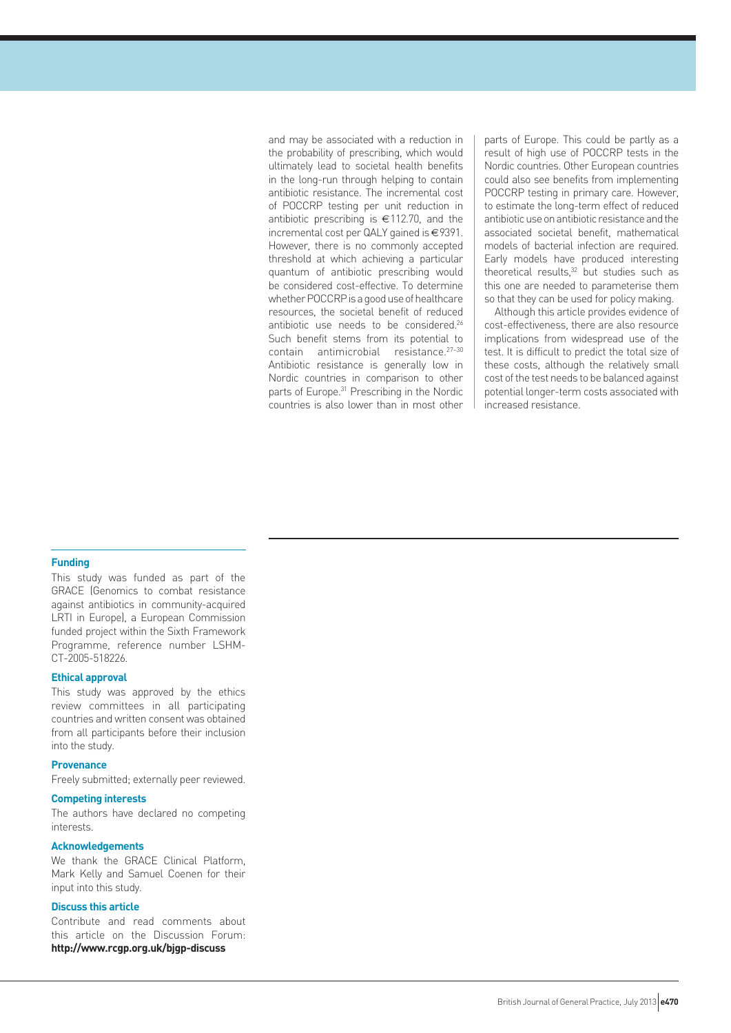and may be associated with a reduction in the probability of prescribing, which would ultimately lead to societal health benefits in the long-run through helping to contain antibiotic resistance. The incremental cost of POCCRP testing per unit reduction in antibiotic prescribing is €112.70, and the incremental cost per QALY gained is €9391. However, there is no commonly accepted threshold at which achieving a particular quantum of antibiotic prescribing would be considered cost-effective. To determine whether POCCRP is a good use of healthcare resources, the societal benefit of reduced antibiotic use needs to be considered.26 Such benefit stems from its potential to contain antimicrobial resistance.27–30 Antibiotic resistance is generally low in Nordic countries in comparison to other parts of Europe.<sup>31</sup> Prescribing in the Nordic countries is also lower than in most other

parts of Europe. This could be partly as a result of high use of POCCRP tests in the Nordic countries. Other European countries could also see benefits from implementing POCCRP testing in primary care. However, to estimate the long-term effect of reduced antibiotic use on antibiotic resistance and the associated societal benefit, mathematical models of bacterial infection are required. Early models have produced interesting theoretical results, $32$  but studies such as this one are needed to parameterise them so that they can be used for policy making.

Although this article provides evidence of cost-effectiveness, there are also resource implications from widespread use of the test. It is difficult to predict the total size of these costs, although the relatively small cost of the test needs to be balanced against potential longer-term costs associated with increased resistance.

#### **Funding**

This study was funded as part of the GRACE (Genomics to combat resistance against antibiotics in community-acquired LRTI in Europe), a European Commission funded project within the Sixth Framework Programme, reference number LSHM-CT-2005-518226.

#### **Ethical approval**

This study was approved by the ethics review committees in all participating countries and written consent was obtained from all participants before their inclusion into the study.

## **Provenance**

Freely submitted; externally peer reviewed.

#### **Competing interests**

The authors have declared no competing interests.

#### **Acknowledgements**

We thank the GRACE Clinical Platform, Mark Kelly and Samuel Coenen for their input into this study.

## **Discuss this article**

Contribute and read comments about this article on the Discussion Forum: **http://www.rcgp.org.uk/bjgp-discuss**